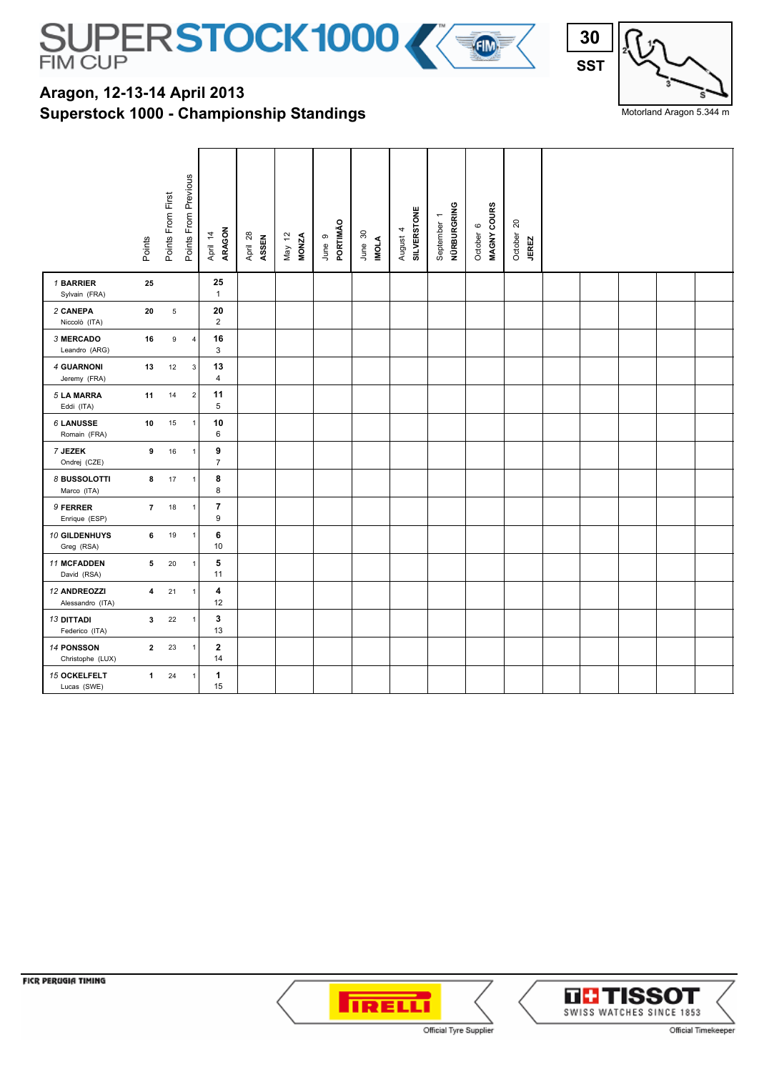

## **Superstock 1000 - Championship Standings Aragon, 12-13-14 April 2013**



Motorland Aragon 5.344 m

|                                     | Points                  | Points From First | Points From Previous | ARAGON<br>April 14   | April 28<br>ASSEN | May 12<br>MONZA | PORTIMÃO<br>June 9 | June 30<br>IMOLA | <b>SILVERSTONE</b><br>4<br>August | NÜRBURGRING<br>$\overline{ }$<br>September | MAGNY COURS<br>$\circ$<br>October | $20\,$<br>October<br><b>JEREZ</b> |  |  |  |
|-------------------------------------|-------------------------|-------------------|----------------------|----------------------|-------------------|-----------------|--------------------|------------------|-----------------------------------|--------------------------------------------|-----------------------------------|-----------------------------------|--|--|--|
| 1 BARRIER<br>Sylvain (FRA)          | 25                      |                   |                      | 25<br>$\mathbf{1}$   |                   |                 |                    |                  |                                   |                                            |                                   |                                   |  |  |  |
| 2 CANEPA<br>Niccolò (ITA)           | 20                      | $\,$ 5 $\,$       |                      | 20<br>$\overline{2}$ |                   |                 |                    |                  |                                   |                                            |                                   |                                   |  |  |  |
| <b>3 MERCADO</b><br>Leandro (ARG)   | 16                      | 9                 | $\overline{4}$       | 16<br>$\mathbf{3}$   |                   |                 |                    |                  |                                   |                                            |                                   |                                   |  |  |  |
| 4 GUARNONI<br>Jeremy (FRA)          | 13                      | 12                | 3                    | 13<br>$\overline{4}$ |                   |                 |                    |                  |                                   |                                            |                                   |                                   |  |  |  |
| <b>5 LA MARRA</b><br>Eddi (ITA)     | 11                      | 14                | $\mathbf 2$          | 11<br>5              |                   |                 |                    |                  |                                   |                                            |                                   |                                   |  |  |  |
| <b>6 LANUSSE</b><br>Romain (FRA)    | 10                      | 15                | $\mathbf{1}$         | 10<br>6              |                   |                 |                    |                  |                                   |                                            |                                   |                                   |  |  |  |
| 7 JEZEK<br>Ondrej (CZE)             | 9                       | 16                | $\mathbf{1}$         | 9<br>$\overline{7}$  |                   |                 |                    |                  |                                   |                                            |                                   |                                   |  |  |  |
| 8 BUSSOLOTTI<br>Marco (ITA)         | 8                       | 17                | $\mathbf{1}$         | 8<br>8               |                   |                 |                    |                  |                                   |                                            |                                   |                                   |  |  |  |
| 9 FERRER<br>Enrique (ESP)           | 7 <sup>7</sup>          | 18                | $\mathbf{1}$         | 7<br>9               |                   |                 |                    |                  |                                   |                                            |                                   |                                   |  |  |  |
| 10 GILDENHUYS<br>Greg (RSA)         | 6                       | 19                | $\mathbf{1}$         | 6<br>10              |                   |                 |                    |                  |                                   |                                            |                                   |                                   |  |  |  |
| 11 MCFADDEN<br>David (RSA)          | 5                       | 20                | $\mathbf{1}$         | 5<br>11              |                   |                 |                    |                  |                                   |                                            |                                   |                                   |  |  |  |
| 12 ANDREOZZI<br>Alessandro (ITA)    | $\overline{\mathbf{4}}$ | 21                | $\mathbf{1}$         | 4<br>12              |                   |                 |                    |                  |                                   |                                            |                                   |                                   |  |  |  |
| <b>13 DITTADI</b><br>Federico (ITA) | 3                       | 22                | $\mathbf{1}$         | 3<br>13              |                   |                 |                    |                  |                                   |                                            |                                   |                                   |  |  |  |
| 14 PONSSON<br>Christophe (LUX)      | $\mathbf{2}$            | 23                | $\mathbf{1}$         | $\mathbf{2}$<br>14   |                   |                 |                    |                  |                                   |                                            |                                   |                                   |  |  |  |
| <b>15 OCKELFELT</b><br>Lucas (SWE)  | $\mathbf{1}$            | 24                | $\mathbf{1}$         | $\mathbf{1}$<br>15   |                   |                 |                    |                  |                                   |                                            |                                   |                                   |  |  |  |





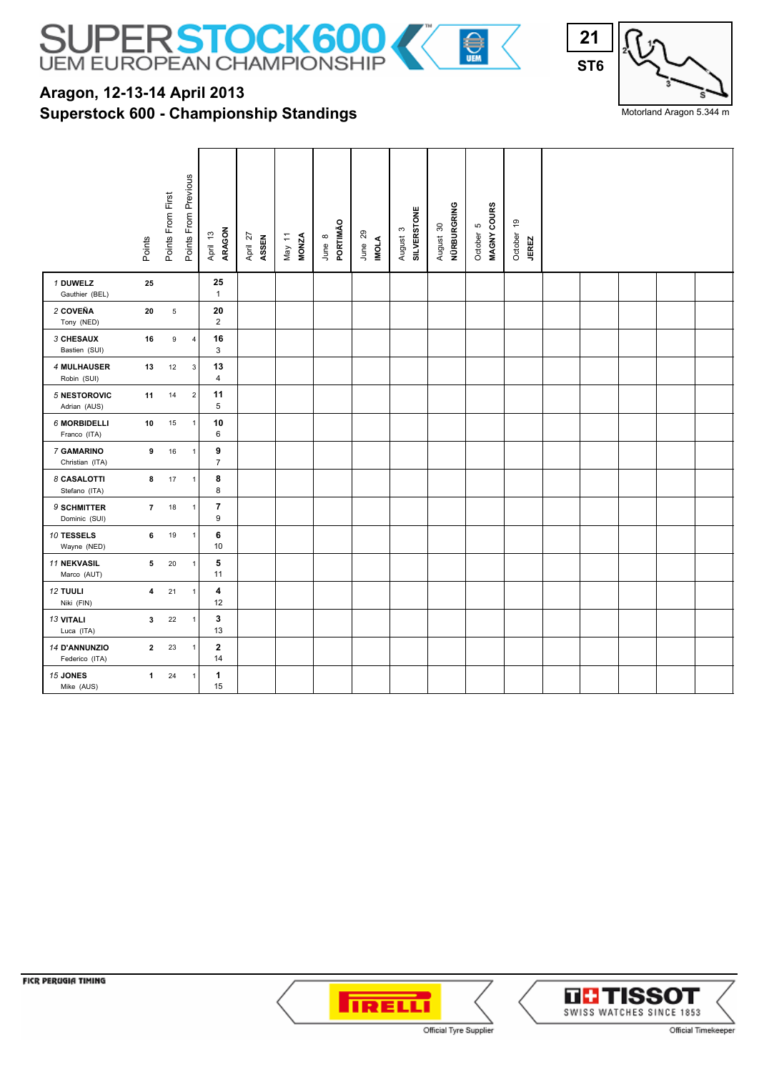

## **Superstock 600 - Championship Standings Aragon, 12-13-14 April 2013**



Motorland Aragon 5.344 m

|                                   | Points                  | Points From First | Points From Previous | ARAGON<br>April 13   | April 27<br>ASSEN | May 11<br>MONZA | PORTIMÃO<br>June 8 | June 29<br><b>INOLA</b> | <b>SILVERSTONE</b><br>$\boldsymbol{\varsigma}$<br>August | NÜRBURGRING<br>August 30 | MAGNY COURS<br>Ю<br>October | $\frac{6}{5}$<br>October<br><b>JEREZ</b> |  |  |  |
|-----------------------------------|-------------------------|-------------------|----------------------|----------------------|-------------------|-----------------|--------------------|-------------------------|----------------------------------------------------------|--------------------------|-----------------------------|------------------------------------------|--|--|--|
| 1 DUWELZ<br>Gauthier (BEL)        | 25                      |                   |                      | 25<br>$\mathbf{1}$   |                   |                 |                    |                         |                                                          |                          |                             |                                          |  |  |  |
| 2 COVEÑA<br>Tony (NED)            | 20                      | $\mathbf 5$       |                      | 20<br>$\overline{2}$ |                   |                 |                    |                         |                                                          |                          |                             |                                          |  |  |  |
| <b>3 CHESAUX</b><br>Bastien (SUI) | 16                      | 9                 | $\overline{4}$       | 16<br>3              |                   |                 |                    |                         |                                                          |                          |                             |                                          |  |  |  |
| 4 MULHAUSER<br>Robin (SUI)        | 13                      | 12                | $\mathbf 3$          | 13<br>$\overline{4}$ |                   |                 |                    |                         |                                                          |                          |                             |                                          |  |  |  |
| 5 NESTOROVIC<br>Adrian (AUS)      | 11                      | 14                | $\mathbf 2$          | 11<br>5              |                   |                 |                    |                         |                                                          |                          |                             |                                          |  |  |  |
| 6 MORBIDELLI<br>Franco (ITA)      | 10                      | 15                | $\mathbf{1}$         | 10<br>6              |                   |                 |                    |                         |                                                          |                          |                             |                                          |  |  |  |
| 7 GAMARINO<br>Christian (ITA)     | 9                       | 16                | $\mathbf{1}$         | 9<br>$\overline{7}$  |                   |                 |                    |                         |                                                          |                          |                             |                                          |  |  |  |
| 8 CASALOTTI<br>Stefano (ITA)      | 8                       | 17                | $\mathbf{1}$         | 8<br>8               |                   |                 |                    |                         |                                                          |                          |                             |                                          |  |  |  |
| 9 SCHMITTER<br>Dominic (SUI)      | $\overline{7}$          | 18                | $\mathbf{1}$         | 7<br>9               |                   |                 |                    |                         |                                                          |                          |                             |                                          |  |  |  |
| 10 TESSELS<br>Wayne (NED)         | 6                       | 19                | $\mathbf{1}$         | 6<br>10              |                   |                 |                    |                         |                                                          |                          |                             |                                          |  |  |  |
| 11 NEKVASIL<br>Marco (AUT)        | 5                       | 20                | $\mathbf{1}$         | 5<br>11              |                   |                 |                    |                         |                                                          |                          |                             |                                          |  |  |  |
| 12 TUULI<br>Niki (FIN)            | $\overline{\mathbf{4}}$ | 21                | $\mathbf{1}$         | 4<br>12              |                   |                 |                    |                         |                                                          |                          |                             |                                          |  |  |  |
| 13 VITALI<br>Luca (ITA)           | $\mathbf{3}$            | 22                | $\mathbf{1}$         | 3<br>13              |                   |                 |                    |                         |                                                          |                          |                             |                                          |  |  |  |
| 14 D'ANNUNZIO<br>Federico (ITA)   | $\mathbf{2}$            | 23                | $\mathbf 1$          | $\mathbf{2}$<br>14   |                   |                 |                    |                         |                                                          |                          |                             |                                          |  |  |  |
| 15 JONES<br>Mike (AUS)            | $\mathbf{1}$            | 24                | $\mathbf{1}$         | 1<br>15              |                   |                 |                    |                         |                                                          |                          |                             |                                          |  |  |  |